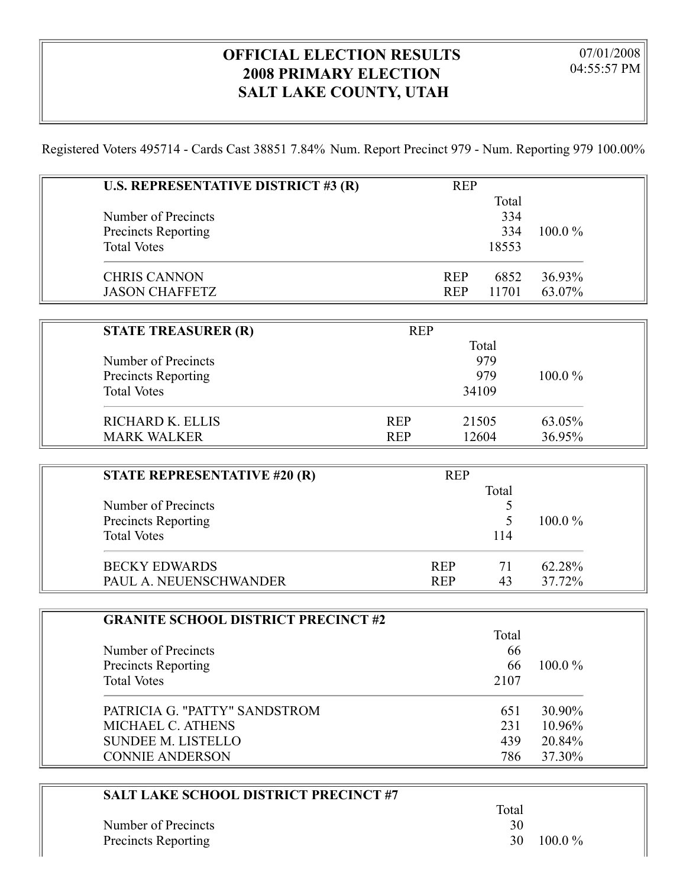## **OFFICIAL ELECTION RESULTS 2008 PRIMARY ELECTION SALT LAKE COUNTY, UTAH**

Registered Voters 495714 - Cards Cast 38851 7.84% Num. Report Precinct 979 - Num. Reporting 979 100.00%

| U.S. REPRESENTATIVE DISTRICT #3 (R) |            | <b>REP</b> |       |           |  |
|-------------------------------------|------------|------------|-------|-----------|--|
|                                     |            |            | Total |           |  |
| Number of Precincts                 |            |            | 334   |           |  |
| <b>Precincts Reporting</b>          |            |            | 334   | 100.0%    |  |
| <b>Total Votes</b>                  |            |            | 18553 |           |  |
| <b>CHRIS CANNON</b>                 |            | <b>REP</b> | 6852  | 36.93%    |  |
| <b>JASON CHAFFETZ</b>               |            | <b>REP</b> | 11701 | 63.07%    |  |
|                                     |            |            |       |           |  |
| <b>STATE TREASURER (R)</b>          | <b>REP</b> |            |       |           |  |
|                                     |            |            | Total |           |  |
| Number of Precincts                 |            |            | 979   |           |  |
| <b>Precincts Reporting</b>          |            |            | 979   | $100.0\%$ |  |
| <b>Total Votes</b>                  |            |            | 34109 |           |  |
| RICHARD K. ELLIS                    | <b>REP</b> |            | 21505 | 63.05%    |  |
| <b>MARK WALKER</b>                  | <b>REP</b> |            | 12604 | 36.95%    |  |
|                                     |            |            |       |           |  |
| <b>STATE REPRESENTATIVE #20 (R)</b> |            | <b>REP</b> |       |           |  |
|                                     |            |            | Total |           |  |

| STATE REPRESENTATIVE #20 (R) | RFF        | Total |           |
|------------------------------|------------|-------|-----------|
| Number of Precincts          |            |       |           |
| <b>Precincts Reporting</b>   |            |       | $100.0\%$ |
| <b>Total Votes</b>           |            | 114   |           |
| <b>BECKY EDWARDS</b>         | <b>REP</b> | 71    | 62.28%    |
| PAUL A. NEUENSCHWANDER       | <b>REP</b> | 43    | 37.72%    |

| <b>GRANITE SCHOOL DISTRICT PRECINCT #2</b> |       |           |
|--------------------------------------------|-------|-----------|
|                                            | Total |           |
| Number of Precincts                        | 66    |           |
| Precincts Reporting                        | 66    | $100.0\%$ |
| <b>Total Votes</b>                         | 2107  |           |
| PATRICIA G. "PATTY" SANDSTROM              | 651   | 30.90%    |
| MICHAEL C. ATHENS                          | 231   | $10.96\%$ |
| <b>SUNDEE M. LISTELLO</b>                  | 439   | 20.84%    |
| <b>CONNIE ANDERSON</b>                     | 786   | 37.30%    |

| <b>SALT LAKE SCHOOL DISTRICT PRECINCT #7</b> |       |           |
|----------------------------------------------|-------|-----------|
|                                              | Total |           |
| Number of Precincts                          | 30    |           |
| <b>Precincts Reporting</b>                   | 30    | $100.0\%$ |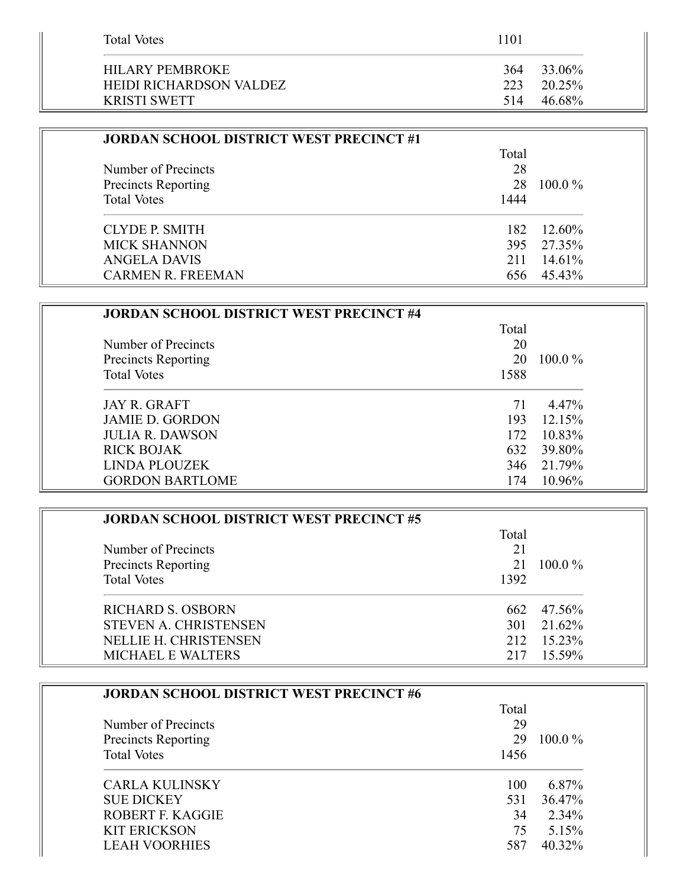| <b>Total Votes</b>                                | 1101                           |  |
|---------------------------------------------------|--------------------------------|--|
| <b>HILARY PEMBROKE</b><br>HEIDI RICHARDSON VALDEZ | 33.06%<br>364<br>20.25%<br>223 |  |
| <b>KRISTI SWETT</b>                               | 46.68%<br>514                  |  |

| <b>JORDAN SCHOOL DISTRICT WEST PRECINCT #1</b> |       |            |
|------------------------------------------------|-------|------------|
|                                                | Total |            |
| Number of Precincts                            | 28    |            |
| <b>Precincts Reporting</b>                     | 28    | $100.0\%$  |
| <b>Total Votes</b>                             | 1444  |            |
| CLYDE P. SMITH                                 | 182   | 12.60%     |
| <b>MICK SHANNON</b>                            |       | 395 27.35% |
| <b>ANGELA DAVIS</b>                            | 211   | 14.61%     |
| <b>CARMEN R. FREEMAN</b>                       | 656.  | 45.43%     |

| <b>JORDAN SCHOOL DISTRICT WEST PRECINCT #4</b> |       |           |
|------------------------------------------------|-------|-----------|
|                                                | Total |           |
| Number of Precincts                            | 20    |           |
| <b>Precincts Reporting</b>                     | 20    | $100.0\%$ |
| <b>Total Votes</b>                             | 1588  |           |
| <b>JAY R. GRAFT</b>                            | 71    | 4.47%     |
| <b>JAMIE D. GORDON</b>                         | 193   | 12.15%    |
| <b>JULIA R. DAWSON</b>                         | 172   | 10.83%    |
| <b>RICK BOJAK</b>                              | 632   | 39.80%    |
| <b>LINDA PLOUZEK</b>                           | 346   | 21.79%    |
| <b>GORDON BARTLOME</b>                         | 174   | 10.96%    |

| <b>JORDAN SCHOOL DISTRICT WEST PRECINCT #5</b> |       |            |
|------------------------------------------------|-------|------------|
|                                                | Total |            |
| Number of Precincts                            | 21    |            |
| Precincts Reporting                            | 21    | $100.0\%$  |
| <b>Total Votes</b>                             | 1392  |            |
| <b>RICHARD S. OSBORN</b>                       | 662   | 47.56%     |
| <b>STEVEN A. CHRISTENSEN</b>                   |       | 301 21.62% |
| <b>NELLIE H. CHRISTENSEN</b>                   | 212   | 15.23%     |
| <b>MICHAEL E WALTERS</b>                       |       | $15.59\%$  |

| <b>JORDAN SCHOOL DISTRICT WEST PRECINCT #6</b> |       |           |
|------------------------------------------------|-------|-----------|
|                                                | Total |           |
| Number of Precincts                            | 29    |           |
| <b>Precincts Reporting</b>                     | 29    | $100.0\%$ |
| <b>Total Votes</b>                             | 1456  |           |
| CARLA KULINSKY                                 | 100   | 6.87%     |
| <b>SUE DICKEY</b>                              | 531   | 36.47%    |
| ROBERT F. KAGGIE                               | 34    | 2.34%     |
| <b>KIT ERICKSON</b>                            | 75    | 5.15%     |
| <b>LEAH VOORHIES</b>                           | 587   | 40.32%    |